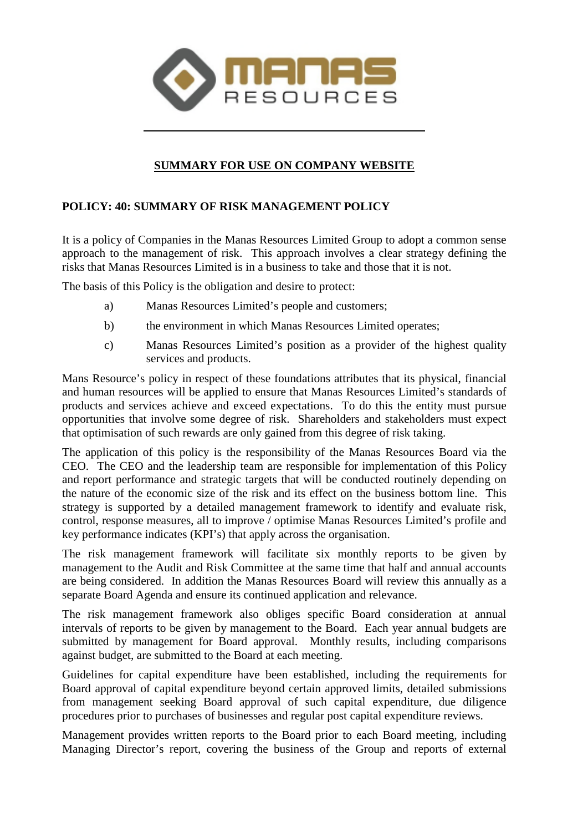

## **SUMMARY FOR USE ON COMPANY WEBSITE**

## **POLICY: 40: SUMMARY OF RISK MANAGEMENT POLICY**

It is a policy of Companies in the Manas Resources Limited Group to adopt a common sense approach to the management of risk. This approach involves a clear strategy defining the risks that Manas Resources Limited is in a business to take and those that it is not.

The basis of this Policy is the obligation and desire to protect:

- a) Manas Resources Limited's people and customers;
- b) the environment in which Manas Resources Limited operates;
- c) Manas Resources Limited's position as a provider of the highest quality services and products.

Mans Resource's policy in respect of these foundations attributes that its physical, financial and human resources will be applied to ensure that Manas Resources Limited's standards of products and services achieve and exceed expectations. To do this the entity must pursue opportunities that involve some degree of risk. Shareholders and stakeholders must expect that optimisation of such rewards are only gained from this degree of risk taking.

The application of this policy is the responsibility of the Manas Resources Board via the CEO. The CEO and the leadership team are responsible for implementation of this Policy and report performance and strategic targets that will be conducted routinely depending on the nature of the economic size of the risk and its effect on the business bottom line. This strategy is supported by a detailed management framework to identify and evaluate risk, control, response measures, all to improve / optimise Manas Resources Limited's profile and key performance indicates (KPI's) that apply across the organisation.

The risk management framework will facilitate six monthly reports to be given by management to the Audit and Risk Committee at the same time that half and annual accounts are being considered. In addition the Manas Resources Board will review this annually as a separate Board Agenda and ensure its continued application and relevance.

The risk management framework also obliges specific Board consideration at annual intervals of reports to be given by management to the Board. Each year annual budgets are submitted by management for Board approval. Monthly results, including comparisons against budget, are submitted to the Board at each meeting.

Guidelines for capital expenditure have been established, including the requirements for Board approval of capital expenditure beyond certain approved limits, detailed submissions from management seeking Board approval of such capital expenditure, due diligence procedures prior to purchases of businesses and regular post capital expenditure reviews.

Management provides written reports to the Board prior to each Board meeting, including Managing Director's report, covering the business of the Group and reports of external